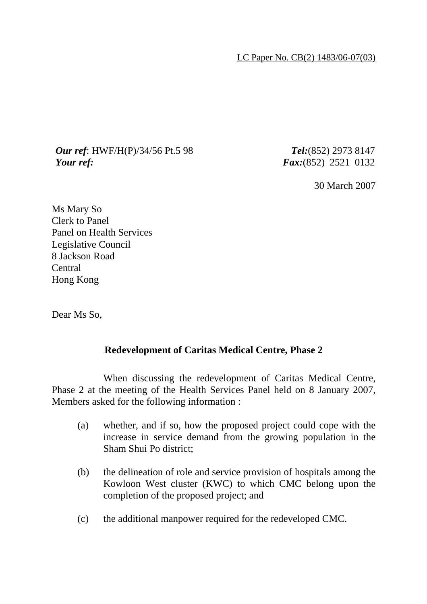LC Paper No. CB(2) 1483/06-07(03)

## *Our ref*: HWF/H(P)/34/56 Pt.5 98 *Tel:*(852) 2973 8147 *Your ref: Fax:*(852) 2521 0132

30 March 2007

Ms Mary So Clerk to Panel Panel on Health Services Legislative Council 8 Jackson Road Central Hong Kong

Dear Ms So,

## **Redevelopment of Caritas Medical Centre, Phase 2**

 When discussing the redevelopment of Caritas Medical Centre, Phase 2 at the meeting of the Health Services Panel held on 8 January 2007, Members asked for the following information :

- (a) whether, and if so, how the proposed project could cope with the increase in service demand from the growing population in the Sham Shui Po district;
- (b) the delineation of role and service provision of hospitals among the Kowloon West cluster (KWC) to which CMC belong upon the completion of the proposed project; and
- (c) the additional manpower required for the redeveloped CMC.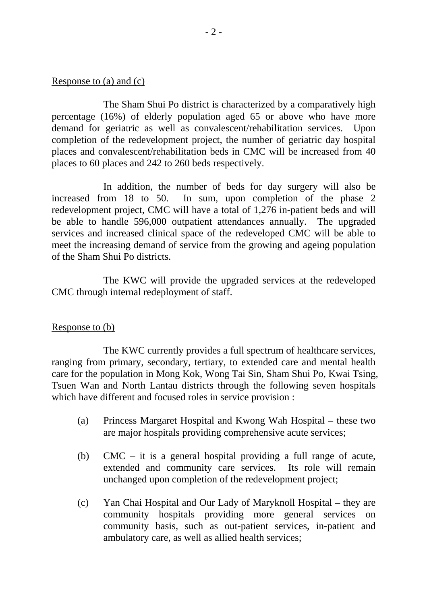## Response to (a) and (c)

 The Sham Shui Po district is characterized by a comparatively high percentage (16%) of elderly population aged 65 or above who have more demand for geriatric as well as convalescent/rehabilitation services. Upon completion of the redevelopment project, the number of geriatric day hospital places and convalescent/rehabilitation beds in CMC will be increased from 40 places to 60 places and 242 to 260 beds respectively.

 In addition, the number of beds for day surgery will also be increased from 18 to 50. In sum, upon completion of the phase 2 redevelopment project, CMC will have a total of 1,276 in-patient beds and will be able to handle 596,000 outpatient attendances annually. The upgraded services and increased clinical space of the redeveloped CMC will be able to meet the increasing demand of service from the growing and ageing population of the Sham Shui Po districts.

 The KWC will provide the upgraded services at the redeveloped CMC through internal redeployment of staff.

## Response to (b)

 The KWC currently provides a full spectrum of healthcare services, ranging from primary, secondary, tertiary, to extended care and mental health care for the population in Mong Kok, Wong Tai Sin, Sham Shui Po, Kwai Tsing, Tsuen Wan and North Lantau districts through the following seven hospitals which have different and focused roles in service provision :

- (a) Princess Margaret Hospital and Kwong Wah Hospital these two are major hospitals providing comprehensive acute services;
- (b) CMC it is a general hospital providing a full range of acute, extended and community care services. Its role will remain unchanged upon completion of the redevelopment project;
- (c) Yan Chai Hospital and Our Lady of Maryknoll Hospital they are community hospitals providing more general services on community basis, such as out-patient services, in-patient and ambulatory care, as well as allied health services;